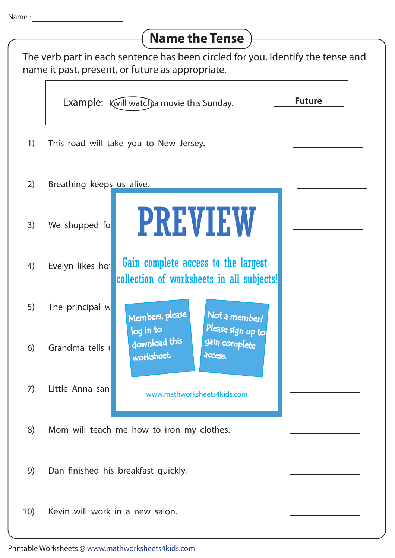## **Name the Tense**

| The verb part in each sentence has been circled for you. Identify the tense and<br>name it past, present, or future as appropriate. |                                             |                                                                                           |               |
|-------------------------------------------------------------------------------------------------------------------------------------|---------------------------------------------|-------------------------------------------------------------------------------------------|---------------|
|                                                                                                                                     | Example: I will watch) a movie this Sunday. |                                                                                           | <b>Future</b> |
| 1)                                                                                                                                  |                                             | This road will take you to New Jersey.                                                    |               |
| 2)                                                                                                                                  | Breathing keeps us alive.                   |                                                                                           |               |
| 3)                                                                                                                                  | We shopped fo                               | <b>PREVIEW</b>                                                                            |               |
| 4)                                                                                                                                  | Evelyn likes hot                            | Gain complete access to the largest<br>collection of worksheets in all subjects!          |               |
| 5)                                                                                                                                  | The principal w                             | Members, please<br>Not a member?                                                          |               |
| 6)                                                                                                                                  | Grandma tells u                             | Please sign up to<br>log in to<br>download this<br>gain complete<br>worksheet.<br>access. |               |
| 7)                                                                                                                                  | Little Anna san                             | www.mathworksheets4kids.com                                                               |               |
| 8)                                                                                                                                  | Mom will teach me how to iron my clothes.   |                                                                                           |               |
| 9)                                                                                                                                  | Dan finished his breakfast quickly.         |                                                                                           |               |
| 10)                                                                                                                                 | Kevin will work in a new salon.             |                                                                                           |               |